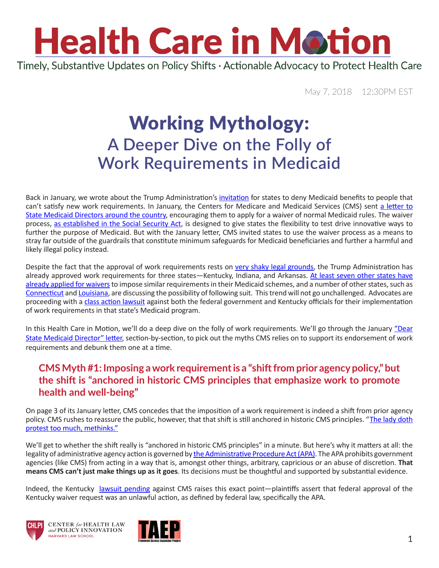### **Health Care in Motion** Timely, Substantive Updates on Policy Shifts · Actionable Advocacy to Protect Health Care

May 7, 2018 12:30PM EST

### Working Mythology: **A Deeper Dive on the Folly of Work Requirements in Medicaid**

Back in January, we wrote about the Trump Administration's *[invitation](https://www.chlpi.org/wp-content/uploads/2013/12/HCIM_01_12_2018_updated-1_17_2018.pdf)* for states to deny Medicaid benefits to people that can't satisfy new work requirements. In January, the Centers for Medicare and Medicaid Services (CMS) sent [a letter to](https://www.medicaid.gov/federal-policy-guidance/downloads/smd18002.pdf) [State Medicaid Directors around the country](https://www.medicaid.gov/federal-policy-guidance/downloads/smd18002.pdf), encouraging them to apply for a waiver of normal Medicaid rules. The waiver process, [as established in the Social Security Act,](https://www.ssa.gov/OP_Home/ssact/title11/1115.htm) is designed to give states the flexibility to test drive innovative ways to further the purpose of Medicaid. But with the January letter, CMS invited states to use the waiver process as a means to stray far outside of the guardrails that constitute minimum safeguards for Medicaid beneficiaries and further a harmful and likely illegal policy instead.

Despite the fact that the approval of work requirements rests on [very shaky legal grounds](https://www.chlpi.org/wp-content/uploads/2013/12/HCIM_01_19_2018.pdf), the Trump Administration has already approved work requirements for three states—Kentucky, Indiana, and Arkansas. At least seven other states have [already applied for waivers](http://files.kff.org/attachment/Which-States-Have-Approved-and-Pending-Section-1115-Medicaid-Waivers-Pending) to impose similar requirements in their Medicaid schemes, and a number of other states, such as [Connecticut](http://www.ctnewsjunkie.com/archives/entry/20180315_work_requirements_for_medicaid_exposes_ideological_divide/) and [Louisiana](http://www.nola.com/politics/index.ssf/2018/03/louisiana_medicaid_work_requir_1.html), are discussing the possibility of following suit. This trend will not go unchallenged. Advocates are proceeding with a [class action lawsuit](http://www.healthlaw.org/issues/medicaid/waivers/stewart-v-hargan-lawsuit-challenging-kentucky-medicaid-waiver-project#.WuyWT9MvydE) against both the federal government and Kentucky officials for their implementation of work requirements in that state's Medicaid program.

In this Health Care in Motion, we'll do a deep dive on the folly of work requirements. We'll go through the January ["Dear](https://www.medicaid.gov/federal-policy-guidance/downloads/smd18002.pdf)  [State Medicaid Director" letter](https://www.medicaid.gov/federal-policy-guidance/downloads/smd18002.pdf), section-by-section, to pick out the myths CMS relies on to support its endorsement of work requirements and debunk them one at a time.

### **CMS Myth #1: Imposing a work requirement is a "shift from prior agency policy," but the shift is "anchored in historic CMS principles that emphasize work to promote health and well-being"**

On page 3 of its January letter, CMS concedes that the imposition of a work requirement is indeed a shift from prior agency policy. CMS rushes to reassure the public, however, that that shift is still anchored in historic CMS principles. "[The lady doth](https://www.youtube.com/watch?v=sRVX9F4fuYU)  [protest too much, methinks."](https://www.youtube.com/watch?v=sRVX9F4fuYU)

We'll get to whether the shift really is "anchored in historic CMS principles" in a minute. But here's why it matters at all: the legality of administrative agency action is governed by [the Administrative Procedure Act \(APA\).](https://www.law.cornell.edu/uscode/text/5/706) The APA prohibits government agencies (like CMS) from acting in a way that is, amongst other things, arbitrary, capricious or an abuse of discretion. **That means CMS can't just make things up as it goes**. Its decisions must be thoughtful and supported by substantial evidence.

Indeed, the Kentucky [lawsuit pending](https://www.kff.org/medicaid/issue-brief/a-guide-to-the-lawsuit-challenging-cmss-approval-of-the-kentucky-health-medicaid-waiver/) against CMS raises this exact point—plaintiffs assert that federal approval of the Kentucky waiver request was an unlawful action, as defined by federal law, specifically the APA.





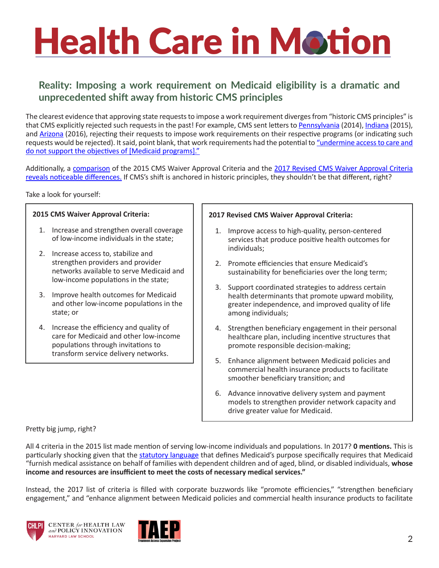### **Reality: Imposing a work requirement on Medicaid eligibility is a dramatic and unprecedented shift away from historic CMS principles**

The clearest evidence that approving state requests to impose a work requirement diverges from "historic CMS principles" is that CMS explicitly rejected such requests in the past! For example, CMS sent letters to [Pennsylvania](https://www.medicaid.gov/Medicaid-CHIP-Program-Information/By-Topics/Waivers/1115/downloads/pa/Healthy-Pennsylvania-Private-Coverage-Option-Demonstration/pa-healthy-ca.pdf) (2014), [Indiana](http://www.in.gov/fssa/hip/files/IN_HIP_2.0_CMS_Approval_Ltr_1_27_15.pdf) (2015), and [Arizona](https://www.azahcccs.gov/Resources/Downloads/1115Waiver/LetterToState09302016.pdf) (2016), rejecting their requests to impose work requirements on their respective programs (or indicating such requests would be rejected). It said, point blank, that work requirements had the potential to ["undermine access to care and](https://www.azahcccs.gov/Resources/Downloads/1115Waiver/LetterToState09302016.pdf)  [do not support the objectives of \[Medicaid programs\]."](https://www.azahcccs.gov/Resources/Downloads/1115Waiver/LetterToState09302016.pdf)

Additionally, a [comparison](https://www.kff.org/report-section/section-1115-medicaid-demonstration-waivers-the-current-landscape-of-approved-and-pending-waivers-appendices/) of the 2015 CMS Waiver Approval Criteria and the [2017 Revised CMS Waiver Approval Criteria](https://www.medicaid.gov/medicaid/section-1115-demo/about-1115/index.html) reveals noticeable differences. If CMS's shift is anchored in historic principles, they shouldn't be that different, right?

Take a look for yourself:

#### **2015 CMS Waiver Approval Criteria:**

- 1. Increase and strengthen overall coverage of low-income individuals in the state;
- 2. Increase access to, stabilize and strengthen providers and provider networks available to serve Medicaid and low-income populations in the state;
- 3. Improve health outcomes for Medicaid and other low-income populations in the state; or
- 4. Increase the efficiency and quality of care for Medicaid and other low-income populations through invitations to transform service delivery networks.

#### **2017 Revised CMS Waiver Approval Criteria:**

- 1. Improve access to high-quality, person-centered services that produce positive health outcomes for individuals;
- 2. Promote efficiencies that ensure Medicaid's sustainability for beneficiaries over the long term;
- 3. Support coordinated strategies to address certain health determinants that promote upward mobility, greater independence, and improved quality of life among individuals;
- 4. Strengthen beneficiary engagement in their personal healthcare plan, including incentive structures that promote responsible decision-making;
- 5. Enhance alignment between Medicaid policies and commercial health insurance products to facilitate smoother beneficiary transition; and
- 6. Advance innovative delivery system and payment models to strengthen provider network capacity and drive greater value for Medicaid.

Pretty big jump, right?

All 4 criteria in the 2015 list made mention of serving low-income individuals and populations. In 2017? **0 mentions.** This is particularly shocking given that the [statutory language](https://www.ssa.gov/OP_Home/ssact/title19/1901.htm) that defines Medicaid's purpose specifically requires that Medicaid "furnish medical assistance on behalf of families with dependent children and of aged, blind, or disabled individuals, **whose income and resources are insufficient to meet the costs of necessary medical services."**

Instead, the 2017 list of criteria is filled with corporate buzzwords like "promote efficiencies," "strengthen beneficiary engagement," and "enhance alignment between Medicaid policies and commercial health insurance products to facilitate





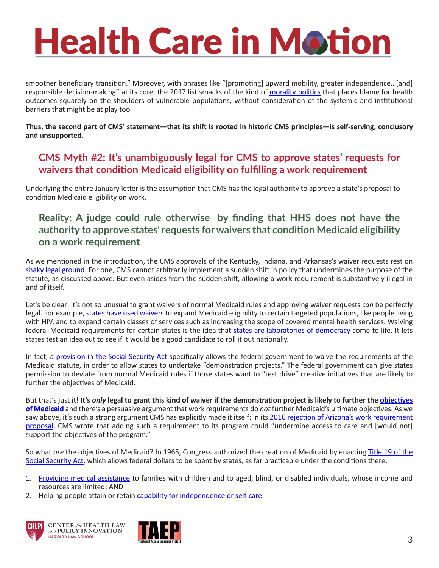smoother beneficiary transition." Moreover, with phrases like "[promoting] upward mobility, greater independence…[and] responsible decision-making" at its core, the 2017 list smacks of the kind of [morality politics](https://www.rwjf.org/content/dam/farm/books/books/2004/rwjf11472) that places blame for health outcomes squarely on the shoulders of vulnerable populations, without consideration of the systemic and institutional barriers that might be at play too.

**Thus, the second part of CMS' statement—that its shift is rooted in historic CMS principles—is self-serving, conclusory and unsupported.** 

#### **CMS Myth #2: It's unambiguously legal for CMS to approve states' requests for waivers that condition Medicaid eligibility on fulfilling a work requirement**

Underlying the entire January letter is the assumption that CMS has the legal authority to approve a state's proposal to condition Medicaid eligibility on work.

### **Reality: A judge could rule otherwise─by finding that HHS does not have the authority to approve states' requests for waivers that condition Medicaid eligibility on a work requirement**

As we mentioned in the introduction, the CMS approvals of the Kentucky, Indiana, and Arkansas's waiver requests rest on [shaky legal ground](https://www.chlpi.org/wp-content/uploads/2013/12/HCIM_01_19_2018.pdf). For one, CMS cannot arbitrarily implement a sudden shift in policy that undermines the purpose of the statute, as discussed above. But even asides from the sudden shift, allowing a work requirement is substantively illegal in and of itself.

Let's be clear: it's not so unusual to grant waivers of normal Medicaid rules and approving waiver requests *can* be perfectly legal. For example, [states have used waivers](https://www.kff.org/medicaid/issue-brief/section-1115-medicaid-demonstration-waivers-the-current-landscape-of-approved-and-pending-waivers/) to expand Medicaid eligibility to certain targeted populations, like people living with HIV, and to expand certain classes of services such as increasing the scope of covered mental health services. Waiving federal Medicaid requirements for certain states is the idea that [states are laboratories of democracy](http://www.governing.com/columns/potomac-chronicle/gov-states-still-labs-of-democracy.html) come to life. It lets states test an idea out to see if it would be a good candidate to roll it out nationally.

In fact, a [provision in the Social Security Act](https://www.ssa.gov/OP_Home/ssact/title11/1115.htm) specifically allows the federal government to waive the requirements of the Medicaid statute, in order to allow states to undertake "demonstration projects." The federal government can give states permission to deviate from normal Medicaid rules if those states want to "test drive" creative initiatives that are likely to further the objectives of Medicaid.

But that's just it! It's *only* legal to grant this kind of waiver if the demonstration project is likely to further the *objectives* **[of Medicaid](https://www.ssa.gov/OP_Home/ssact/title19/1901.htm)** and there's a persuasive argument that work requirements do *not* further Medicaid's ultimate objectives. As we saw above, it's such a strong argument CMS has explicitly made it itself: in its 2016 rejection of Arizona's work requirement [proposal](https://www.azahcccs.gov/Resources/Downloads/1115Waiver/LetterToState09302016.pdf), CMS wrote that adding such a requirement to its program could "undermine access to care and [would not] support the objectives of the program."

So what *are* the objectives of Medicaid? In 1965, Congress authorized the creation of Medicaid by enacting [Title 19 of the](https://www.ssa.gov/OP_Home/ssact/title19/1901.htm)  [Social Security Act](https://www.ssa.gov/OP_Home/ssact/title19/1901.htm), which allows federal dollars to be spent by states, as far practicable under the conditions there:

- 1. [Providing medical assistance](https://www.law.cornell.edu/uscode/text/42/1396%E2%80%931) to families with children and to aged, blind, or disabled individuals, whose income and resources are limited; AND
- 2. Helping people attain or retain [capability for independence or self-care.](https://www.law.cornell.edu/uscode/text/42/1396%E2%80%931)



**HARVARD LAW SCHOOL** 

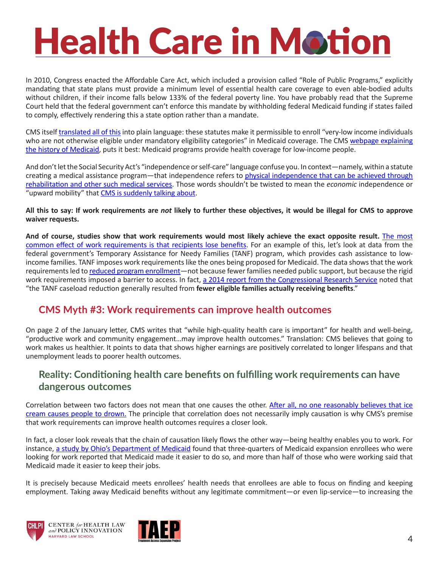In 2010, Congress enacted the Affordable Care Act, which included a provision called "Role of Public Programs," explicitly mandating that state plans must provide a minimum level of essential health care coverage to even able-bodied adults without children, if their income falls below 133% of the federal poverty line. You have probably read that the Supreme Court held that the federal government can't enforce this mandate by withholding federal Medicaid funding if states failed to comply, effectively rendering this a state option rather than a mandate.

CMS itself [translated all of this](https://www.medicaid.gov/federal-policy-guidance/downloads/smd10005.pdf) into plain language: these statutes make it permissible to enroll "very-low income individuals who are not otherwise eligible under mandatory eligibility categories" in Medicaid coverage. The CMS webpage explaining [the history of Medicaid](https://www.medicaid.gov/about-us/program-history/index.html), puts it best: Medicaid programs provide health coverage for low-income people.

And don't let the Social Security Act's "independence or self-care" language confuse you. In context—namely, within a statute creating a medical assistance program—that independence refers to [physical independence that can be achieved through](http://familiesusa.org/sites/default/files/comments/comments_1115_AR waiver_ammendment_0817.pdf)  [rehabilitation and other such medical services](http://familiesusa.org/sites/default/files/comments/comments_1115_AR waiver_ammendment_0817.pdf). Those words shouldn't be twisted to mean the *economic* independence or "upward mobility" that **CMS** is suddenly talking about.

#### **All this to say: If work requirements are** *not* **likely to further these objectives, it would be illegal for CMS to approve waiver requests.**

**And of course, studies show that work requirements would most likely achieve the exact opposite result.** [The most](http://www.clasp.org/sites/default/files/publications/2017/08/Doubling-Down-How-Work-Requirements-in-Public-Benefit-Programs-Hurt-Low-Wage-Workers.pdf)  [common effect of work requirements is that recipients lose benefits.](http://www.clasp.org/sites/default/files/publications/2017/08/Doubling-Down-How-Work-Requirements-in-Public-Benefit-Programs-Hurt-Low-Wage-Workers.pdf) For an example of this, let's look at data from the federal government's Temporary Assistance for Needy Families (TANF) program, which provides cash assistance to lowincome families. TANF imposes work requirements like the ones being proposed for Medicaid. The data shows that the work requirements led to reduced program enrollment-not because fewer families needed public support, but because the rigid work requirements imposed a barrier to access. In fact, [a 2014 report from the Congressional Research Service](https://greenbook-waysandmeans.house.gov/sites/greenbook.waysandmeans.house.gov/files/R43400_gb.pdf) noted that "the TANF caseload reduction generally resulted from **fewer eligible families actually receiving benefits**."

#### **CMS Myth #3: Work requirements can improve health outcomes**

On page 2 of the January letter, CMS writes that "while high-quality health care is important" for health and well-being, "productive work and community engagement…may improve health outcomes." Translation: CMS believes that going to work makes us healthier. It points to data that shows higher earnings are positively correlated to longer lifespans and that unemployment leads to poorer health outcomes.

### **Reality: Conditioning health care benefits on fulfilling work requirements can have dangerous outcomes**

Correlation between two factors does not mean that one causes the other. [After all, no one reasonably believes that ice](https://www.youtube.com/watch?v=8B271L3NtAw)  [cream causes people to drown.](https://www.youtube.com/watch?v=8B271L3NtAw) The principle that correlation does not necessarily imply causation is why CMS's premise that work requirements can improve health outcomes requires a closer look.

In fact, a closer look reveals that the chain of causation likely flows the other way—being healthy enables you to work. For instance, [a study by Ohio's Department of Medicaid](http://medicaid.ohio.gov/Portals/0/Resources/Reports/Annual/Group-VIII-Assessment.pdf) found that three-quarters of Medicaid expansion enrollees who were looking for work reported that Medicaid made it easier to do so, and more than half of those who were working said that Medicaid made it easier to keep their jobs.

It is precisely because Medicaid meets enrollees' health needs that enrollees are able to focus on finding and keeping employment. Taking away Medicaid benefits without any legitimate commitment—or even lip-service—to increasing the





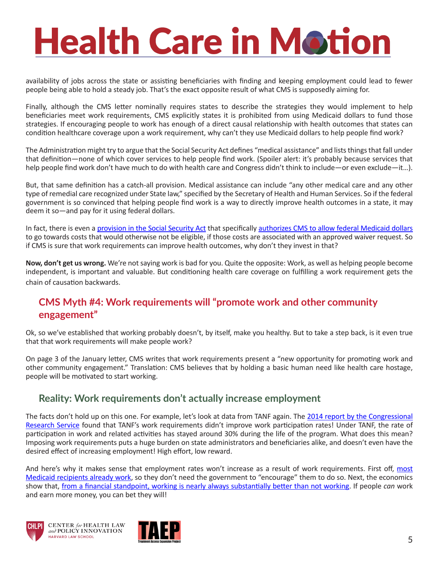availability of jobs across the state or assisting beneficiaries with finding and keeping employment could lead to fewer people being able to hold a steady job. That's the exact opposite result of what CMS is supposedly aiming for.

Finally, although the CMS letter nominally requires states to describe the strategies they would implement to help beneficiaries meet work requirements, CMS explicitly states it is prohibited from using Medicaid dollars to fund those strategies. If encouraging people to work has enough of a direct causal relationship with health outcomes that states can condition healthcare coverage upon a work requirement, why can't they use Medicaid dollars to help people find work?

The Administration might try to argue that the Social Security Act defines "medical assistance" and lists things that fall under that definition—none of which cover services to help people find work. (Spoiler alert: it's probably because services that help people find work don't have much to do with health care and Congress didn't think to include—or even exclude—it...).

But, that same definition has a catch-all provision. Medical assistance can include "any other medical care and any other type of remedial care recognized under State law," specified by the Secretary of Health and Human Services. So if the federal government is so convinced that helping people find work is a way to directly improve health outcomes in a state, it may deem it so—and pay for it using federal dollars.

In fact, there is even a [provision in the Social Security Act](https://www.ssa.gov/OP_Home/ssact/title11/1115.htm) that specifically [authorizes CMS to allow federal Medicaid dollars](http://www.dhcs.ca.gov/provgovpart/Documents/Waiver Renewal/1115_Project_Authority.pdf) to go towards costs that would otherwise not be eligible, if those costs are associated with an approved waiver request. So if CMS is sure that work requirements can improve health outcomes, why don't they invest in that?

**Now, don't get us wrong.** We're not saying work is bad for you. Quite the opposite: Work, as well as helping people become independent, is important and valuable. But conditioning health care coverage on fulfilling a work requirement gets the chain of causation backwards.

#### **CMS Myth #4: Work requirements will "promote work and other community engagement"**

Ok, so we've established that working probably doesn't, by itself, make you healthy. But to take a step back, is it even true that that work requirements will make people work?

On page 3 of the January letter, CMS writes that work requirements present a "new opportunity for promoting work and other community engagement." Translation: CMS believes that by holding a basic human need like health care hostage, people will be motivated to start working.

#### **Reality: Work requirements don't actually increase employment**

The facts don't hold up on this one. For example, let's look at data from TANF again. The [2014 report by the Congressional](https://greenbook-waysandmeans.house.gov/sites/greenbook.waysandmeans.house.gov/files/R43400_gb.pdf)  [Research Service](https://greenbook-waysandmeans.house.gov/sites/greenbook.waysandmeans.house.gov/files/R43400_gb.pdf) found that TANF's work requirements didn't improve work participation rates! Under TANF, the rate of participation in work and related activities has stayed around 30% during the life of the program. What does this mean? Imposing work requirements puts a huge burden on state administrators and beneficiaries alike, and doesn't even have the desired effect of increasing employment! High effort, low reward.

And here's why it makes sense that employment rates won't increase as a result of work requirements. First off, most [Medicaid recipients already work,](https://www.kff.org/medicaid/issue-brief/understanding-the-intersection-of-medicaid-and-work/) so they don't need the government to "encourage" them to do so. Next, the economics show that, [from a financial standpoint, working is nearly always substantially better than not working](https://www.cbpp.org/poverty-and-inequality/commentary-under-current-poverty-programs-it-pays-to-work-despite-house). If people *can* work and earn more money, you can bet they will!





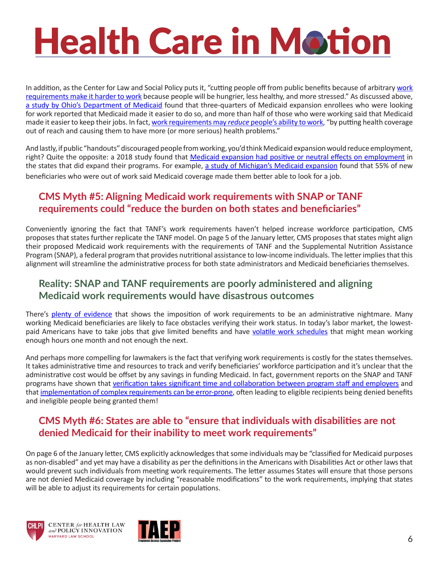In addition, as the Center for Law and Social Policy puts it, "cutting people off from public benefits because of arbitrary [work](http://www.clasp.org/sites/default/files/publications/2017/08/Doubling-Down-How-Work-Requirements-in-Public-Benefit-Programs-Hurt-Low-Wage-Workers.pdf) [requirements make it harder to work](http://www.clasp.org/sites/default/files/publications/2017/08/Doubling-Down-How-Work-Requirements-in-Public-Benefit-Programs-Hurt-Low-Wage-Workers.pdf) because people will be hungrier, less healthy, and more stressed." As discussed above, [a study by Ohio's Department of Medicaid](http://medicaid.ohio.gov/Portals/0/Resources/Reports/Annual/Group-VIII-Assessment.pdf) found that three-quarters of Medicaid expansion enrollees who were looking for work reported that Medicaid made it easier to do so, and more than half of those who were working said that Medicaid made it easier to keep their jobs. In fact, [work requirements may](https://www.cbpp.org/blog/work-requirements-in-medicaid-would-increase-number-of-uninsured) *reduce* people's ability to work, "by putting health coverage out of reach and causing them to have more (or more serious) health problems."

And lastly, if public "handouts" discouraged people from working, you'd think Medicaid expansion would reduce employment, right? Quite the opposite: a 2018 study found that [Medicaid expansion had positive or neutral effects on employment](https://www.kff.org/medicaid/issue-brief/the-effects-of-medicaid-expansion-under-the-aca-updated-findings-from-a-literature-review-march-2018/) in the states that did expand their programs. For example, [a study of Michigan's Medicaid expansion](http://ihpi.umich.edu/news/medicaid-expansion-helped-enrollees-do-better-work-or-job-searches) found that 55% of new beneficiaries who were out of work said Medicaid coverage made them better able to look for a job.

### **CMS Myth #5: Aligning Medicaid work requirements with SNAP or TANF requirements could "reduce the burden on both states and beneficiaries"**

Conveniently ignoring the fact that TANF's work requirements haven't helped increase workforce participation, CMS proposes that states further replicate the TANF model. On page 5 of the January letter, CMS proposes that states might align their proposed Medicaid work requirements with the requirements of TANF and the Supplemental Nutrition Assistance Program (SNAP), a federal program that provides nutritional assistance to low-income individuals. The letter implies that this alignment will streamline the administrative process for both state administrators and Medicaid beneficiaries themselves.

### **Reality: SNAP and TANF requirements are poorly administered and aligning Medicaid work requirements would have disastrous outcomes**

There's [plenty of evidence](http://www.clasp.org/sites/default/files/publications/2017/08/Doubling-Down-How-Work-Requirements-in-Public-Benefit-Programs-Hurt-Low-Wage-Workers.pdf) that shows the imposition of work requirements to be an administrative nightmare. Many working Medicaid beneficiaries are likely to face obstacles verifying their work status. In today's labor market, the lowestpaid Americans have to take jobs that give limited benefits and have [volatile work schedules](http://www.clasp.org/sites/default/files/publications/2017/08/Doubling-Down-How-Work-Requirements-in-Public-Benefit-Programs-Hurt-Low-Wage-Workers.pdf) that might mean working enough hours one month and not enough the next.

And perhaps more compelling for lawmakers is the fact that verifying work requirements is costly for the states themselves. It takes administrative time and resources to track and verify beneficiaries' workforce participation and it's unclear that the administrative cost would be offset by any savings in funding Medicaid. In fact, government reports on the SNAP and TANF programs have shown that [verification takes significant time and collaboration between program staff and employers](https://www.gao.gov/assets/660/654614.pdf) and that [implementation of complex requirements can be error-prone,](https://www.usda.gov/oig/webdocs/27601-0002-31.pdf) often leading to eligible recipients being denied benefits and ineligible people being granted them!

### **CMS Myth #6: States are able to "ensure that individuals with disabilities are not denied Medicaid for their inability to meet work requirements"**

On page 6 of the January letter, CMS explicitly acknowledges that some individuals may be "classified for Medicaid purposes as non-disabled" and yet may have a disability as per the definitions in the Americans with Disabilities Act or other laws that would prevent such individuals from meeting work requirements. The letter assumes States will ensure that those persons are not denied Medicaid coverage by including "reasonable modifications" to the work requirements, implying that states will be able to adjust its requirements for certain populations.





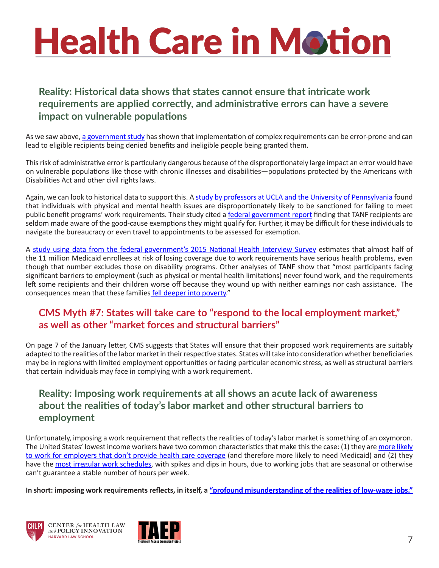### **Reality: Historical data shows that states cannot ensure that intricate work requirements are applied correctly, and administrative errors can have a severe impact on vulnerable populations**

As we saw above, [a government study](https://www.usda.gov/oig/webdocs/27601-0002-31.pdf) has shown that implementation of complex requirements can be error-prone and can lead to eligible recipients being denied benefits and ineligible people being granted them.

This risk of administrative error is particularly dangerous because of the disproportionately large impact an error would have on vulnerable populations like those with chronic illnesses and disabilities—populations protected by the Americans with Disabilities Act and other civil rights laws.

Again, we can look to historical data to support this. A [study by professors at UCLA and the University of Pennsylvania](https://repository.upenn.edu/cgi/viewcontent.cgi?referer=&httpsredir=1&article=1028&context=spp_papers) found that individuals with physical and mental health issues are disproportionately likely to be sanctioned for failing to meet public benefit programs' work requirements. Their study cited a [federal government report](https://oig.hhs.gov/oei/reports/oei-09-98-00291.pdf) finding that TANF recipients are seldom made aware of the good-cause exemptions they might qualify for. Further, it may be difficult for these individuals to navigate the bureaucracy or even travel to appointments to be assessed for exemption.

A [study using data from the federal government's 2015 National Health Interview Survey](https://www.healthaffairs.org/do/10.1377/hblog20170412.059575/full/) estimates that almost half of the 11 million Medicaid enrollees at risk of losing coverage due to work requirements have serious health problems, even though that number excludes those on disability programs. Other analyses of TANF show that "most participants facing significant barriers to employment (such as physical or mental health limitations) never found work, and the requirements left some recipients and their children worse off because they wound up with neither earnings nor cash assistance. The consequences mean that these families [fell deeper into poverty](https://www.cbpp.org/research/housing/work-requirements-would-undercut-effectiveness-of-rental-assistance-programs#_ftnref6)."

### **CMS Myth #7: States will take care to "respond to the local employment market," as well as other "market forces and structural barriers"**

On page 7 of the January letter, CMS suggests that States will ensure that their proposed work requirements are suitably adapted to the realities of the labor market in their respective states. States will take into consideration whether beneficiaries may be in regions with limited employment opportunities or facing particular economic stress, as well as structural barriers that certain individuals may face in complying with a work requirement.

### **Reality: Imposing work requirements at all shows an acute lack of awareness about the realities of today's labor market and other structural barriers to employment**

Unfortunately, imposing a work requirement that reflects the realities of today's labor market is something of an oxymoron. The United States' lowest income workers have two common characteristics that make this the case: (1) they are [more likely](https://ccf.georgetown.edu/2018/03/16/state-medicaid-work-rules-ignore-the-reality-of-working-life-for-americans-in-low-wage-jobs/)  [to work for employers that don't provide health care coverage](https://ccf.georgetown.edu/2018/03/16/state-medicaid-work-rules-ignore-the-reality-of-working-life-for-americans-in-low-wage-jobs/) (and therefore more likely to need Medicaid) and (2) they have the [most irregular work schedules,](https://ccf.georgetown.edu/2018/03/16/state-medicaid-work-rules-ignore-the-reality-of-working-life-for-americans-in-low-wage-jobs/) with spikes and dips in hours, due to working jobs that are seasonal or otherwise can't guarantee a stable number of hours per week.

**In short: imposing work requirements reflects, in itself, a ["profound misunderstanding of the realities of low-wage jobs."](https://www.clasp.org/sites/default/files/publications/2017/08/Doubling-Down-How-Work-Requirements-in-Public-Benefit-Programs-Hurt-Low-Wage-Workers.pdf)**





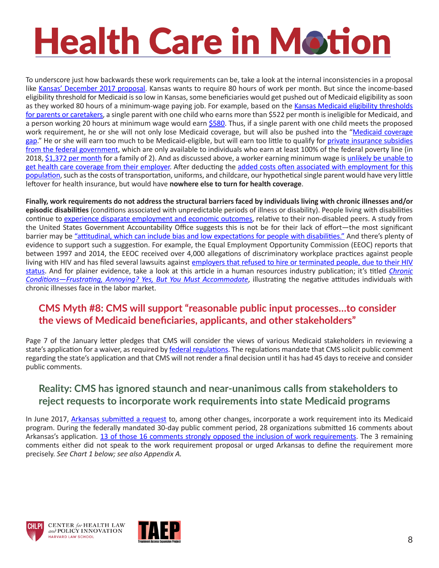To underscore just how backwards these work requirements can be, take a look at the internal inconsistencies in a proposal like [Kansas' December 2017 proposal.](https://www.medicaid.gov/Medicaid-CHIP-Program-Information/By-Topics/Waivers/1115/downloads/ks/ks-kancare-pa3.pdf) Kansas wants to require 80 hours of work per month. But since the income-based eligibility threshold for Medicaid is so low in Kansas, some beneficiaries would get pushed out of Medicaid eligibility as soon as they worked 80 hours of a minimum-wage paying job. For example, based on the [Kansas Medicaid eligibility thresholds](http://www.kancare.ks.gov/docs/default-source/Consumers/benefits-and-services/fact-sheets/medical-coverage-for-parents-or-caregivers-of-children-fact-sheet-04-18.pdf?sfvrsn=4)  [for parents or caretakers](http://www.kancare.ks.gov/docs/default-source/Consumers/benefits-and-services/fact-sheets/medical-coverage-for-parents-or-caregivers-of-children-fact-sheet-04-18.pdf?sfvrsn=4), a single parent with one child who earns more than \$522 per month is ineligible for Medicaid, and a person working 20 hours at minimum wage would earn [\\$580.](https://www.dol.gov/general/topic/wages/minimumwage) Thus, if a single parent with one child meets the proposed work requirement, he or she will not only lose Medicaid coverage, but will also be pushed into the "[Medicaid coverage](https://www.kff.org/medicaid/issue-brief/the-coverage-gap-uninsured-poor-adults-in-states-that-do-not-expand-medicaid/)  [gap](https://www.kff.org/medicaid/issue-brief/the-coverage-gap-uninsured-poor-adults-in-states-that-do-not-expand-medicaid/)." He or she will earn too much to be Medicaid-eligible, but will earn too little to qualify for private insurance subsidies [from the federal government,](https://www.irs.gov/affordable-care-act/individuals-and-families/questions-and-answers-on-the-premium-tax-credit) which are only available to individuals who earn at least 100% of the federal poverty line (in 2018, [\\$1,372 per month](https://www.masslegalservices.org/content/federal-poverty-guidelines-2018) for a family of 2). And as discussed above, a worker earning minimum wage is unlikely be unable to [get health care coverage from their employer.](http://cepr.net/documents/publications/health-low-wage-2012-02.pdf) After deducting the [added costs often associated with employment for this](https://mn.gov/deed/assets/march-2015-barriers_tcm1045-133486.pdf)  [population](https://mn.gov/deed/assets/march-2015-barriers_tcm1045-133486.pdf), such as the costs of transportation, uniforms, and childcare, our hypothetical single parent would have very little leftover for health insurance, but would have **nowhere else to turn for health coverage**.

**Finally, work requirements do not address the structural barriers faced by individuals living with chronic illnesses and/or episodic disabilities** (conditions associated with unpredictable periods of illness or disability). People living with disabilities continue to [experience disparate employment and economic outcomes](http://www.yti.cornell.edu/areas/work), relative to their non-disabled peers. A study from the United States Government Accountability Office suggests this is not be for their lack of effort—the most significant barrier may be ["attitudinal, which can include bias and low expectations for people with disabilities."](https://www.gao.gov/assets/210/204277.pdf) And there's plenty of evidence to support such a suggestion. For example, the Equal Employment Opportunity Commission (EEOC) reports that between 1997 and 2014, the EEOC received over 4,000 allegations of discriminatory workplace practices against people living with HIV and has filed several lawsuits against employers that refused to hire or terminated people, due to their HIV [status](https://www.eeoc.gov/eeoc/newsroom/wysk/hiv_aids_discrimination.cfm). And for plainer evidence, take a look at this article in a human resources industry publication; it's titled *[Chronic](http://hrdailyadvisor.blr.com/2014/02/26/chronic-conditions-frustrating-annoying-yes-but-you-must-accommodate/)  [Conditions—Frustrating, Annoying? Yes, But You Must Accommodate](http://hrdailyadvisor.blr.com/2014/02/26/chronic-conditions-frustrating-annoying-yes-but-you-must-accommodate/)*, illustrating the negative attitudes individuals with chronic illnesses face in the labor market.

### **CMS Myth #8: CMS will support "reasonable public input processes…to consider the views of Medicaid beneficiaries, applicants, and other stakeholders"**

Page 7 of the January letter pledges that CMS will consider the views of various Medicaid stakeholders in reviewing a state's application for a waiver, as required by [federal regulations](https://www.law.cornell.edu/cfr/text/42/431.416). The regulations mandate that CMS solicit public comment regarding the state's application and that CMS will not render a final decision until it has had 45 days to receive and consider public comments.

#### **Reality: CMS has ignored staunch and near-unanimous calls from stakeholders to reject requests to incorporate work requirements into state Medicaid programs**

In June 2017, Arkansas submitted a request to, among other changes, incorporate a work requirement into its Medicaid program. During the federally mandated 30-day public comment period, 28 organizations submitted 16 comments about Arkansas's application. [13 of those 16 comments strongly opposed the inclusion of work requirements.](https://public.medicaid.gov/connect.ti/public.comments/questionnaireVotes?qid=1891331) The 3 remaining comments either did not speak to the work requirement proposal or urged Arkansas to define the requirement more precisely. *See Chart 1 below; see also Appendix A.*





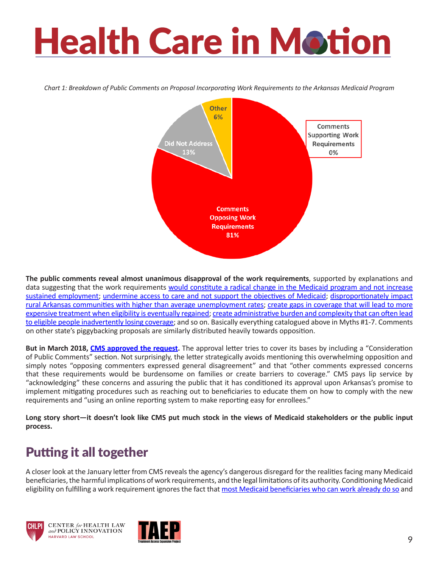*Chart 1: Breakdown of Public Comments on Proposal Incorporating Work Requirements to the Arkansas Medicaid Program*



**The public comments reveal almost unanimous disapproval of the work requirements**, supported by explanations and data suggesting that the work requirements [would constitute a radical change in the Medicaid program and not increase](http://familiesusa.org/sites/default/files/comments/comments_1115_AR waiver_ammendment_0817.pdf)  [sustained employment;](http://familiesusa.org/sites/default/files/comments/comments_1115_AR waiver_ammendment_0817.pdf) [undermine access to care and not support the objectives of Medicaid;](https://ccf.georgetown.edu/wp-content/uploads/2017/08/Arkansas-Works-Comment-Letter-8-10-2017.pdf) [disproportionately impact](https://public.medicaid.gov/gf2.ti/af/328098/42225/PDF/-/LAA_1115_Demonstration_Waiver_Comments_CMS_8.7.17.pdf)  [rural Arkansas communities with higher than average unemployment rates;](https://public.medicaid.gov/gf2.ti/af/328098/42225/PDF/-/LAA_1115_Demonstration_Waiver_Comments_CMS_8.7.17.pdf) [create gaps in coverage that will lead to more](http://www.healthlaw.org/issues/medicaid/waivers/nhelp-comments-arkansas-amended-section-1115-waiver-project#.WswI99PwZ0w)  [expensive treatment when eligibility is eventually regained;](http://www.healthlaw.org/issues/medicaid/waivers/nhelp-comments-arkansas-amended-section-1115-waiver-project#.WswI99PwZ0w) [create administrative burden and complexity that can often lead](https://public.medicaid.gov/gf2.ti/af/328098/42209/PDF/-/AACF_Arkansas_1115_Waiver_Comments.pdf)  [to eligible people inadvertently losing coverage](https://public.medicaid.gov/gf2.ti/af/328098/42209/PDF/-/AACF_Arkansas_1115_Waiver_Comments.pdf); and so on. Basically everything catalogued above in Myths #1-7. Comments on other state's piggybacking proposals are similarly distributed heavily towards opposition.

**But in March 2018, [CMS approved the request](https://www.medicaid.gov/Medicaid-CHIP-Program-Information/By-Topics/Waivers/1115/downloads/ar/ar-works-ca.pdf).** The approval letter tries to cover its bases by including a "Consideration of Public Comments" section. Not surprisingly, the letter strategically avoids mentioning this overwhelming opposition and simply notes "opposing commenters expressed general disagreement" and that "other comments expressed concerns that these requirements would be burdensome on families or create barriers to coverage." CMS pays lip service by "acknowledging" these concerns and assuring the public that it has conditioned its approval upon Arkansas's promise to implement mitigating procedures such as reaching out to beneficiaries to educate them on how to comply with the new requirements and "using an online reporting system to make reporting easy for enrollees."

**Long story short—it doesn't look like CMS put much stock in the views of Medicaid stakeholders or the public input process.**

### Putting it all together

A closer look at the January letter from CMS reveals the agency's dangerous disregard for the realities facing many Medicaid beneficiaries, the harmful implications of work requirements, and the legal limitations of its authority. Conditioning Medicaid eligibility on fulfilling a work requirement ignores the fact that [most Medicaid beneficiaries who can work already do so](https://www.kff.org/medicaid/issue-brief/understanding-the-intersection-of-medicaid-and-work/) and